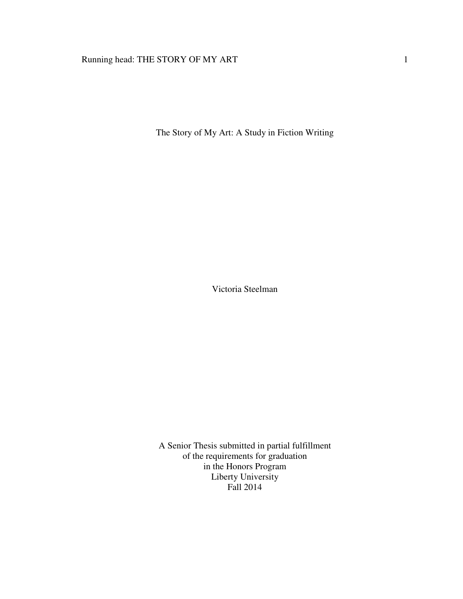# Running head: THE STORY OF MY ART 1

The Story of My Art: A Study in Fiction Writing

Victoria Steelman

A Senior Thesis submitted in partial fulfillment of the requirements for graduation in the Honors Program Liberty University Fall 2014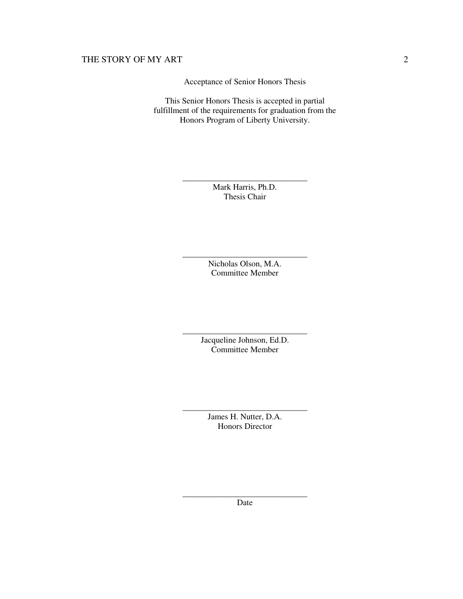Acceptance of Senior Honors Thesis

This Senior Honors Thesis is accepted in partial fulfillment of the requirements for graduation from the Honors Program of Liberty University.

> \_\_\_\_\_\_\_\_\_\_\_\_\_\_\_\_\_\_\_\_\_\_\_\_\_\_\_\_\_\_ Mark Harris, Ph.D. Thesis Chair

> \_\_\_\_\_\_\_\_\_\_\_\_\_\_\_\_\_\_\_\_\_\_\_\_\_\_\_\_\_\_ Nicholas Olson, M.A. Committee Member

> \_\_\_\_\_\_\_\_\_\_\_\_\_\_\_\_\_\_\_\_\_\_\_\_\_\_\_\_\_\_ Jacqueline Johnson, Ed.D. Committee Member

> \_\_\_\_\_\_\_\_\_\_\_\_\_\_\_\_\_\_\_\_\_\_\_\_\_\_\_\_\_\_ James H. Nutter, D.A. Honors Director

> \_\_\_\_\_\_\_\_\_\_\_\_\_\_\_\_\_\_\_\_\_\_\_\_\_\_\_\_\_\_ Date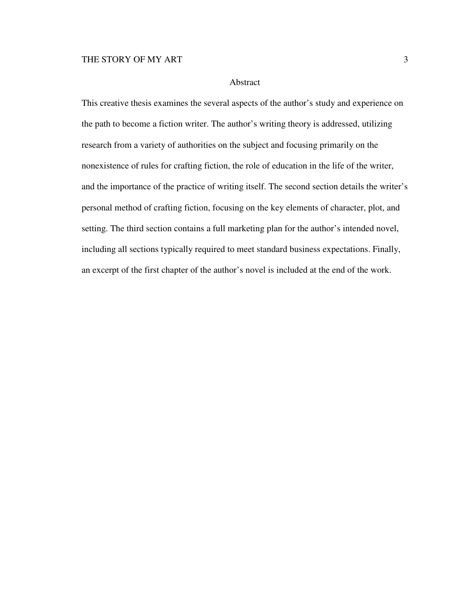### Abstract

This creative thesis examines the several aspects of the author's study and experience on the path to become a fiction writer. The author's writing theory is addressed, utilizing research from a variety of authorities on the subject and focusing primarily on the nonexistence of rules for crafting fiction, the role of education in the life of the writer, and the importance of the practice of writing itself. The second section details the writer's personal method of crafting fiction, focusing on the key elements of character, plot, and setting. The third section contains a full marketing plan for the author's intended novel, including all sections typically required to meet standard business expectations. Finally, an excerpt of the first chapter of the author's novel is included at the end of the work.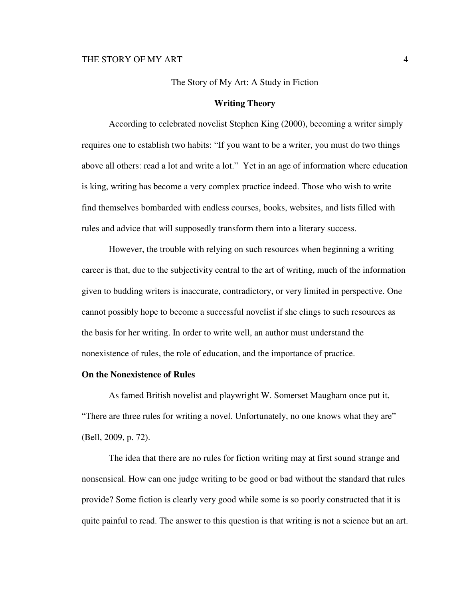#### The Story of My Art: A Study in Fiction

### **Writing Theory**

According to celebrated novelist Stephen King (2000), becoming a writer simply requires one to establish two habits: "If you want to be a writer, you must do two things above all others: read a lot and write a lot." Yet in an age of information where education is king, writing has become a very complex practice indeed. Those who wish to write find themselves bombarded with endless courses, books, websites, and lists filled with rules and advice that will supposedly transform them into a literary success.

However, the trouble with relying on such resources when beginning a writing career is that, due to the subjectivity central to the art of writing, much of the information given to budding writers is inaccurate, contradictory, or very limited in perspective. One cannot possibly hope to become a successful novelist if she clings to such resources as the basis for her writing. In order to write well, an author must understand the nonexistence of rules, the role of education, and the importance of practice.

## **On the Nonexistence of Rules**

As famed British novelist and playwright W. Somerset Maugham once put it, "There are three rules for writing a novel. Unfortunately, no one knows what they are" (Bell, 2009, p. 72).

The idea that there are no rules for fiction writing may at first sound strange and nonsensical. How can one judge writing to be good or bad without the standard that rules provide? Some fiction is clearly very good while some is so poorly constructed that it is quite painful to read. The answer to this question is that writing is not a science but an art.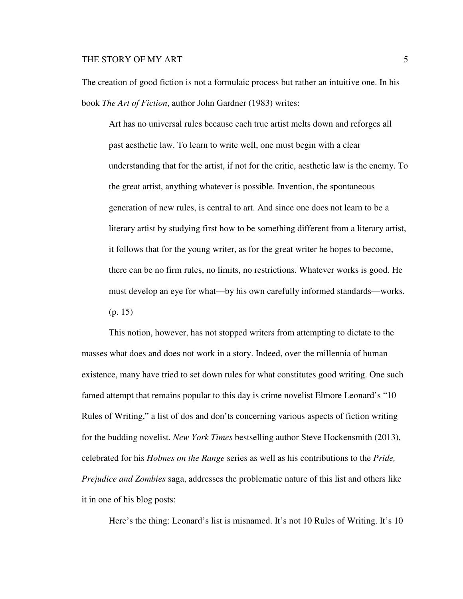The creation of good fiction is not a formulaic process but rather an intuitive one. In his book *The Art of Fiction*, author John Gardner (1983) writes:

Art has no universal rules because each true artist melts down and reforges all past aesthetic law. To learn to write well, one must begin with a clear understanding that for the artist, if not for the critic, aesthetic law is the enemy. To the great artist, anything whatever is possible. Invention, the spontaneous generation of new rules, is central to art. And since one does not learn to be a literary artist by studying first how to be something different from a literary artist, it follows that for the young writer, as for the great writer he hopes to become, there can be no firm rules, no limits, no restrictions. Whatever works is good. He must develop an eye for what—by his own carefully informed standards—works. (p. 15)

This notion, however, has not stopped writers from attempting to dictate to the masses what does and does not work in a story. Indeed, over the millennia of human existence, many have tried to set down rules for what constitutes good writing. One such famed attempt that remains popular to this day is crime novelist Elmore Leonard's "10 Rules of Writing," a list of dos and don'ts concerning various aspects of fiction writing for the budding novelist. *New York Times* bestselling author Steve Hockensmith (2013), celebrated for his *Holmes on the Range* series as well as his contributions to the *Pride, Prejudice and Zombies* saga, addresses the problematic nature of this list and others like it in one of his blog posts:

Here's the thing: Leonard's list is misnamed. It's not 10 Rules of Writing. It's 10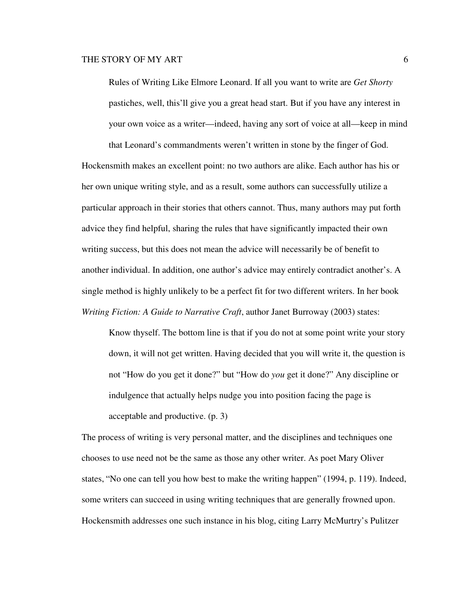Rules of Writing Like Elmore Leonard. If all you want to write are *Get Shorty* pastiches, well, this'll give you a great head start. But if you have any interest in your own voice as a writer—indeed, having any sort of voice at all—keep in mind that Leonard's commandments weren't written in stone by the finger of God.

Hockensmith makes an excellent point: no two authors are alike. Each author has his or her own unique writing style, and as a result, some authors can successfully utilize a particular approach in their stories that others cannot. Thus, many authors may put forth advice they find helpful, sharing the rules that have significantly impacted their own writing success, but this does not mean the advice will necessarily be of benefit to another individual. In addition, one author's advice may entirely contradict another's. A single method is highly unlikely to be a perfect fit for two different writers. In her book *Writing Fiction: A Guide to Narrative Craft*, author Janet Burroway (2003) states:

Know thyself. The bottom line is that if you do not at some point write your story down, it will not get written. Having decided that you will write it, the question is not "How do you get it done?" but "How do *you* get it done?" Any discipline or indulgence that actually helps nudge you into position facing the page is acceptable and productive. (p. 3)

The process of writing is very personal matter, and the disciplines and techniques one chooses to use need not be the same as those any other writer. As poet Mary Oliver states, "No one can tell you how best to make the writing happen" (1994, p. 119). Indeed, some writers can succeed in using writing techniques that are generally frowned upon. Hockensmith addresses one such instance in his blog, citing Larry McMurtry's Pulitzer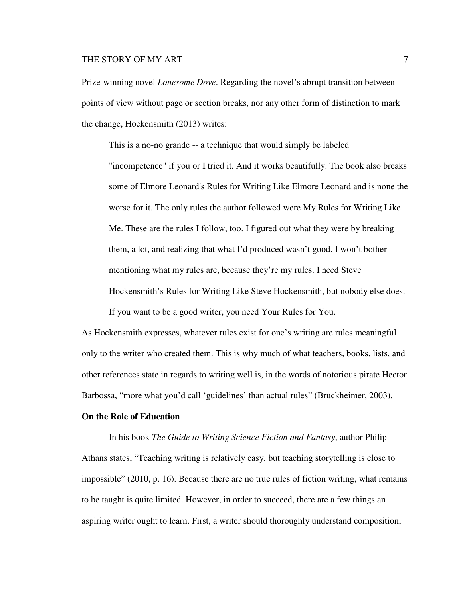Prize-winning novel *Lonesome Dove*. Regarding the novel's abrupt transition between points of view without page or section breaks, nor any other form of distinction to mark the change, Hockensmith (2013) writes:

This is a no-no grande -- a technique that would simply be labeled "incompetence" if you or I tried it. And it works beautifully. The book also breaks some of Elmore Leonard's Rules for Writing Like Elmore Leonard and is none the worse for it. The only rules the author followed were My Rules for Writing Like Me. These are the rules I follow, too. I figured out what they were by breaking them, a lot, and realizing that what I'd produced wasn't good. I won't bother mentioning what my rules are, because they're my rules. I need Steve Hockensmith's Rules for Writing Like Steve Hockensmith, but nobody else does. If you want to be a good writer, you need Your Rules for You.

As Hockensmith expresses, whatever rules exist for one's writing are rules meaningful only to the writer who created them. This is why much of what teachers, books, lists, and other references state in regards to writing well is, in the words of notorious pirate Hector Barbossa, "more what you'd call 'guidelines' than actual rules" (Bruckheimer, 2003).

## **On the Role of Education**

In his book *The Guide to Writing Science Fiction and Fantasy*, author Philip Athans states, "Teaching writing is relatively easy, but teaching storytelling is close to impossible" (2010, p. 16). Because there are no true rules of fiction writing, what remains to be taught is quite limited. However, in order to succeed, there are a few things an aspiring writer ought to learn. First, a writer should thoroughly understand composition,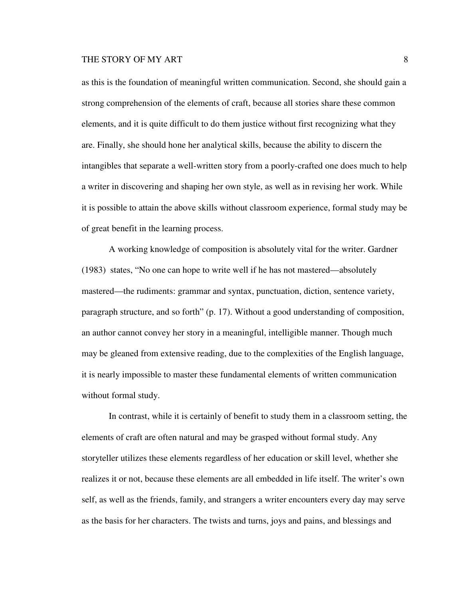as this is the foundation of meaningful written communication. Second, she should gain a strong comprehension of the elements of craft, because all stories share these common elements, and it is quite difficult to do them justice without first recognizing what they are. Finally, she should hone her analytical skills, because the ability to discern the intangibles that separate a well-written story from a poorly-crafted one does much to help a writer in discovering and shaping her own style, as well as in revising her work. While it is possible to attain the above skills without classroom experience, formal study may be of great benefit in the learning process.

A working knowledge of composition is absolutely vital for the writer. Gardner (1983) states, "No one can hope to write well if he has not mastered—absolutely mastered—the rudiments: grammar and syntax, punctuation, diction, sentence variety, paragraph structure, and so forth" (p. 17). Without a good understanding of composition, an author cannot convey her story in a meaningful, intelligible manner. Though much may be gleaned from extensive reading, due to the complexities of the English language, it is nearly impossible to master these fundamental elements of written communication without formal study.

In contrast, while it is certainly of benefit to study them in a classroom setting, the elements of craft are often natural and may be grasped without formal study. Any storyteller utilizes these elements regardless of her education or skill level, whether she realizes it or not, because these elements are all embedded in life itself. The writer's own self, as well as the friends, family, and strangers a writer encounters every day may serve as the basis for her characters. The twists and turns, joys and pains, and blessings and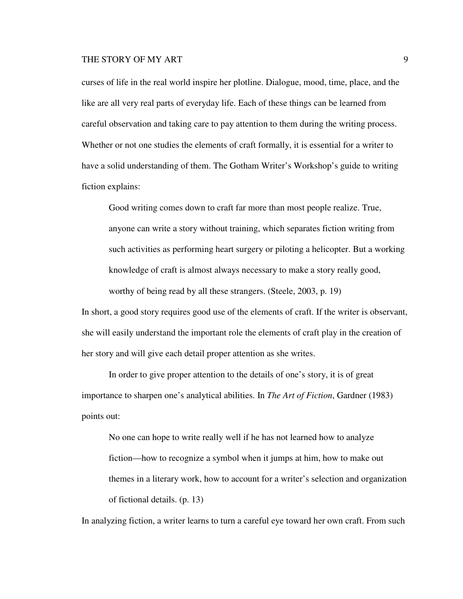curses of life in the real world inspire her plotline. Dialogue, mood, time, place, and the like are all very real parts of everyday life. Each of these things can be learned from careful observation and taking care to pay attention to them during the writing process. Whether or not one studies the elements of craft formally, it is essential for a writer to have a solid understanding of them. The Gotham Writer's Workshop's guide to writing fiction explains:

Good writing comes down to craft far more than most people realize. True, anyone can write a story without training, which separates fiction writing from such activities as performing heart surgery or piloting a helicopter. But a working knowledge of craft is almost always necessary to make a story really good, worthy of being read by all these strangers. (Steele, 2003, p. 19)

In short, a good story requires good use of the elements of craft. If the writer is observant, she will easily understand the important role the elements of craft play in the creation of her story and will give each detail proper attention as she writes.

In order to give proper attention to the details of one's story, it is of great importance to sharpen one's analytical abilities. In *The Art of Fiction*, Gardner (1983) points out:

No one can hope to write really well if he has not learned how to analyze fiction—how to recognize a symbol when it jumps at him, how to make out themes in a literary work, how to account for a writer's selection and organization of fictional details. (p. 13)

In analyzing fiction, a writer learns to turn a careful eye toward her own craft. From such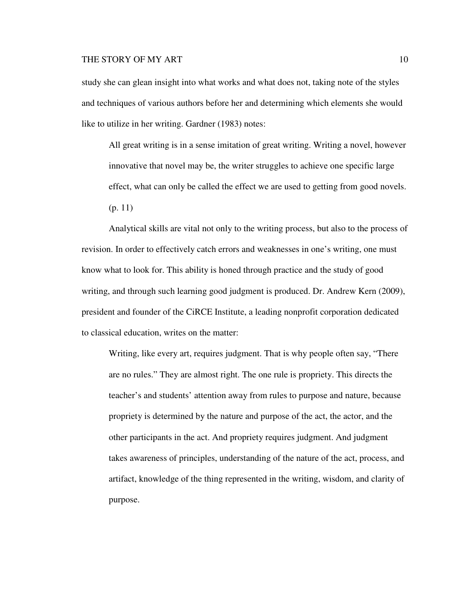study she can glean insight into what works and what does not, taking note of the styles and techniques of various authors before her and determining which elements she would like to utilize in her writing. Gardner (1983) notes:

All great writing is in a sense imitation of great writing. Writing a novel, however innovative that novel may be, the writer struggles to achieve one specific large effect, what can only be called the effect we are used to getting from good novels. (p. 11)

Analytical skills are vital not only to the writing process, but also to the process of revision. In order to effectively catch errors and weaknesses in one's writing, one must know what to look for. This ability is honed through practice and the study of good writing, and through such learning good judgment is produced. Dr. Andrew Kern (2009), president and founder of the CiRCE Institute, a leading nonprofit corporation dedicated to classical education, writes on the matter:

Writing, like every art, requires judgment. That is why people often say, "There are no rules." They are almost right. The one rule is propriety. This directs the teacher's and students' attention away from rules to purpose and nature, because propriety is determined by the nature and purpose of the act, the actor, and the other participants in the act. And propriety requires judgment. And judgment takes awareness of principles, understanding of the nature of the act, process, and artifact, knowledge of the thing represented in the writing, wisdom, and clarity of purpose.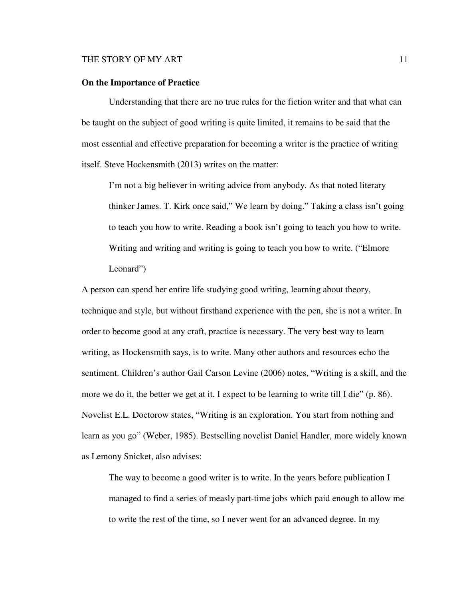### **On the Importance of Practice**

Understanding that there are no true rules for the fiction writer and that what can be taught on the subject of good writing is quite limited, it remains to be said that the most essential and effective preparation for becoming a writer is the practice of writing itself. Steve Hockensmith (2013) writes on the matter:

I'm not a big believer in writing advice from anybody. As that noted literary thinker James. T. Kirk once said," We learn by doing." Taking a class isn't going to teach you how to write. Reading a book isn't going to teach you how to write. Writing and writing and writing is going to teach you how to write. ("Elmore Leonard")

A person can spend her entire life studying good writing, learning about theory, technique and style, but without firsthand experience with the pen, she is not a writer. In order to become good at any craft, practice is necessary. The very best way to learn writing, as Hockensmith says, is to write. Many other authors and resources echo the sentiment. Children's author Gail Carson Levine (2006) notes, "Writing is a skill, and the more we do it, the better we get at it. I expect to be learning to write till I die" (p. 86). Novelist E.L. Doctorow states, "Writing is an exploration. You start from nothing and learn as you go" (Weber, 1985). Bestselling novelist Daniel Handler, more widely known as Lemony Snicket, also advises:

The way to become a good writer is to write. In the years before publication I managed to find a series of measly part-time jobs which paid enough to allow me to write the rest of the time, so I never went for an advanced degree. In my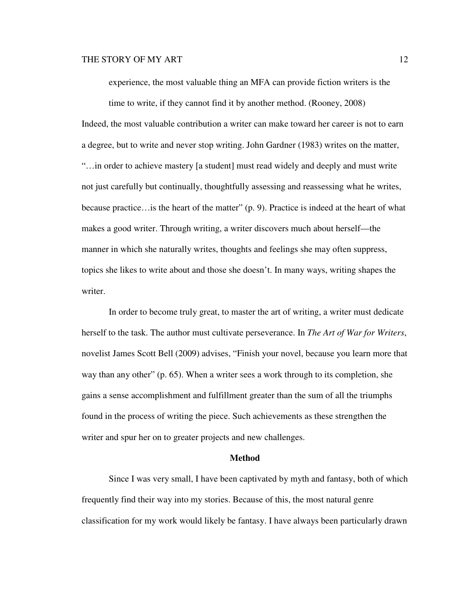experience, the most valuable thing an MFA can provide fiction writers is the

time to write, if they cannot find it by another method. (Rooney, 2008) Indeed, the most valuable contribution a writer can make toward her career is not to earn a degree, but to write and never stop writing. John Gardner (1983) writes on the matter, "…in order to achieve mastery [a student] must read widely and deeply and must write not just carefully but continually, thoughtfully assessing and reassessing what he writes, because practice... is the heart of the matter" (p. 9). Practice is indeed at the heart of what makes a good writer. Through writing, a writer discovers much about herself—the manner in which she naturally writes, thoughts and feelings she may often suppress, topics she likes to write about and those she doesn't. In many ways, writing shapes the writer.

In order to become truly great, to master the art of writing, a writer must dedicate herself to the task. The author must cultivate perseverance. In *The Art of War for Writers*, novelist James Scott Bell (2009) advises, "Finish your novel, because you learn more that way than any other" (p. 65). When a writer sees a work through to its completion, she gains a sense accomplishment and fulfillment greater than the sum of all the triumphs found in the process of writing the piece. Such achievements as these strengthen the writer and spur her on to greater projects and new challenges.

### **Method**

Since I was very small, I have been captivated by myth and fantasy, both of which frequently find their way into my stories. Because of this, the most natural genre classification for my work would likely be fantasy. I have always been particularly drawn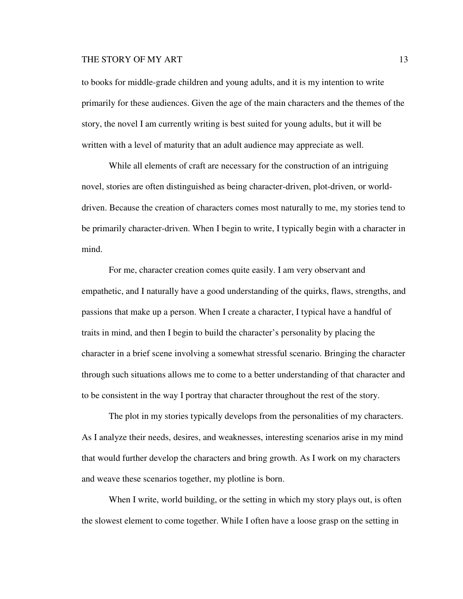to books for middle-grade children and young adults, and it is my intention to write primarily for these audiences. Given the age of the main characters and the themes of the story, the novel I am currently writing is best suited for young adults, but it will be written with a level of maturity that an adult audience may appreciate as well.

While all elements of craft are necessary for the construction of an intriguing novel, stories are often distinguished as being character-driven, plot-driven, or worlddriven. Because the creation of characters comes most naturally to me, my stories tend to be primarily character-driven. When I begin to write, I typically begin with a character in mind.

For me, character creation comes quite easily. I am very observant and empathetic, and I naturally have a good understanding of the quirks, flaws, strengths, and passions that make up a person. When I create a character, I typical have a handful of traits in mind, and then I begin to build the character's personality by placing the character in a brief scene involving a somewhat stressful scenario. Bringing the character through such situations allows me to come to a better understanding of that character and to be consistent in the way I portray that character throughout the rest of the story.

The plot in my stories typically develops from the personalities of my characters. As I analyze their needs, desires, and weaknesses, interesting scenarios arise in my mind that would further develop the characters and bring growth. As I work on my characters and weave these scenarios together, my plotline is born.

When I write, world building, or the setting in which my story plays out, is often the slowest element to come together. While I often have a loose grasp on the setting in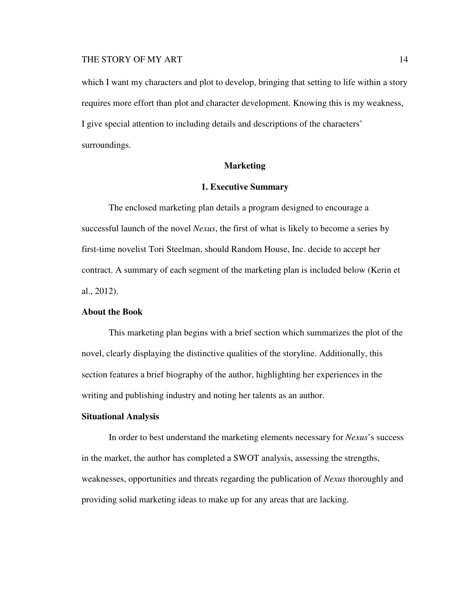which I want my characters and plot to develop, bringing that setting to life within a story requires more effort than plot and character development. Knowing this is my weakness, I give special attention to including details and descriptions of the characters' surroundings.

### **Marketing**

## **1. Executive Summary**

The enclosed marketing plan details a program designed to encourage a successful launch of the novel *Nexus*, the first of what is likely to become a series by first-time novelist Tori Steelman, should Random House, Inc. decide to accept her contract. A summary of each segment of the marketing plan is included below (Kerin et al., 2012).

### **About the Book**

This marketing plan begins with a brief section which summarizes the plot of the novel, clearly displaying the distinctive qualities of the storyline. Additionally, this section features a brief biography of the author, highlighting her experiences in the writing and publishing industry and noting her talents as an author.

## **Situational Analysis**

In order to best understand the marketing elements necessary for *Nexus*'s success in the market, the author has completed a SWOT analysis, assessing the strengths, weaknesses, opportunities and threats regarding the publication of *Nexus* thoroughly and providing solid marketing ideas to make up for any areas that are lacking.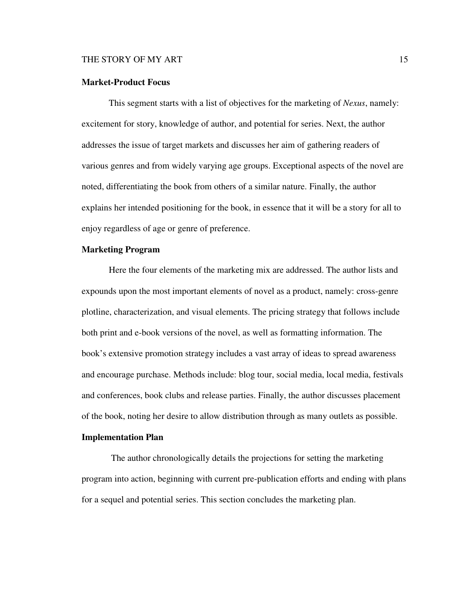### **Market-Product Focus**

This segment starts with a list of objectives for the marketing of *Nexus*, namely: excitement for story, knowledge of author, and potential for series. Next, the author addresses the issue of target markets and discusses her aim of gathering readers of various genres and from widely varying age groups. Exceptional aspects of the novel are noted, differentiating the book from others of a similar nature. Finally, the author explains her intended positioning for the book, in essence that it will be a story for all to enjoy regardless of age or genre of preference.

### **Marketing Program**

Here the four elements of the marketing mix are addressed. The author lists and expounds upon the most important elements of novel as a product, namely: cross-genre plotline, characterization, and visual elements. The pricing strategy that follows include both print and e-book versions of the novel, as well as formatting information. The book's extensive promotion strategy includes a vast array of ideas to spread awareness and encourage purchase. Methods include: blog tour, social media, local media, festivals and conferences, book clubs and release parties. Finally, the author discusses placement of the book, noting her desire to allow distribution through as many outlets as possible.

### **Implementation Plan**

The author chronologically details the projections for setting the marketing program into action, beginning with current pre-publication efforts and ending with plans for a sequel and potential series. This section concludes the marketing plan.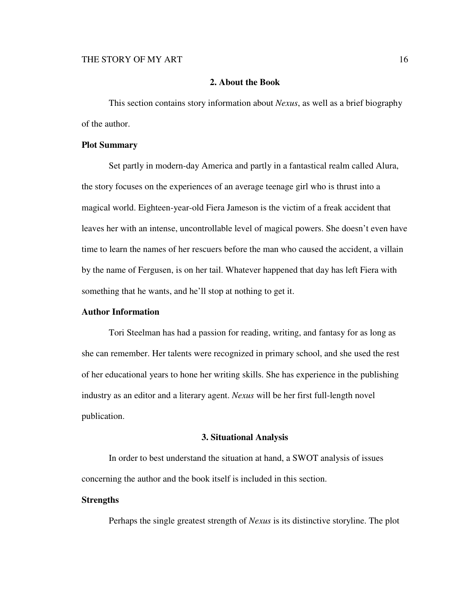### **2. About the Book**

This section contains story information about *Nexus*, as well as a brief biography of the author.

## **Plot Summary**

Set partly in modern-day America and partly in a fantastical realm called Alura, the story focuses on the experiences of an average teenage girl who is thrust into a magical world. Eighteen-year-old Fiera Jameson is the victim of a freak accident that leaves her with an intense, uncontrollable level of magical powers. She doesn't even have time to learn the names of her rescuers before the man who caused the accident, a villain by the name of Fergusen, is on her tail. Whatever happened that day has left Fiera with something that he wants, and he'll stop at nothing to get it.

## **Author Information**

Tori Steelman has had a passion for reading, writing, and fantasy for as long as she can remember. Her talents were recognized in primary school, and she used the rest of her educational years to hone her writing skills. She has experience in the publishing industry as an editor and a literary agent. *Nexus* will be her first full-length novel publication.

### **3. Situational Analysis**

In order to best understand the situation at hand, a SWOT analysis of issues concerning the author and the book itself is included in this section.

## **Strengths**

Perhaps the single greatest strength of *Nexus* is its distinctive storyline. The plot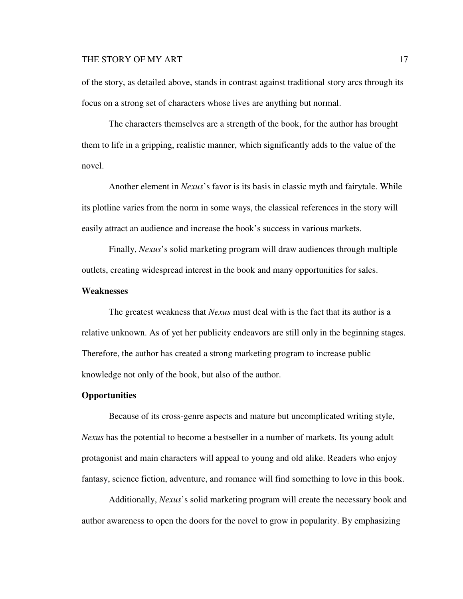of the story, as detailed above, stands in contrast against traditional story arcs through its focus on a strong set of characters whose lives are anything but normal.

The characters themselves are a strength of the book, for the author has brought them to life in a gripping, realistic manner, which significantly adds to the value of the novel.

Another element in *Nexus*'s favor is its basis in classic myth and fairytale. While its plotline varies from the norm in some ways, the classical references in the story will easily attract an audience and increase the book's success in various markets.

Finally, *Nexus*'s solid marketing program will draw audiences through multiple outlets, creating widespread interest in the book and many opportunities for sales.

## **Weaknesses**

The greatest weakness that *Nexus* must deal with is the fact that its author is a relative unknown. As of yet her publicity endeavors are still only in the beginning stages. Therefore, the author has created a strong marketing program to increase public knowledge not only of the book, but also of the author.

### **Opportunities**

Because of its cross-genre aspects and mature but uncomplicated writing style, *Nexus* has the potential to become a bestseller in a number of markets. Its young adult protagonist and main characters will appeal to young and old alike. Readers who enjoy fantasy, science fiction, adventure, and romance will find something to love in this book.

Additionally, *Nexus*'s solid marketing program will create the necessary book and author awareness to open the doors for the novel to grow in popularity. By emphasizing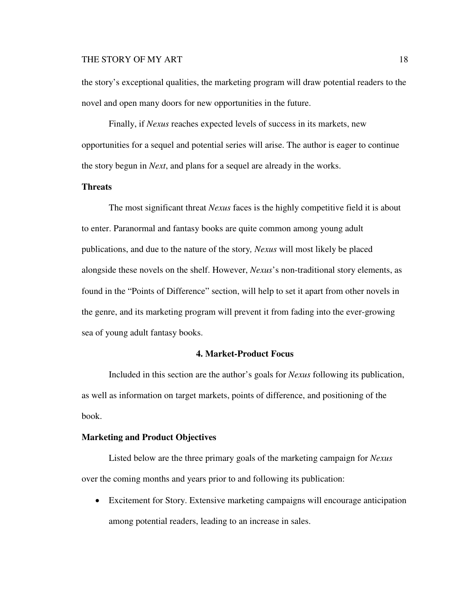the story's exceptional qualities, the marketing program will draw potential readers to the novel and open many doors for new opportunities in the future.

Finally, if *Nexus* reaches expected levels of success in its markets, new opportunities for a sequel and potential series will arise. The author is eager to continue the story begun in *Next*, and plans for a sequel are already in the works.

## **Threats**

The most significant threat *Nexus* faces is the highly competitive field it is about to enter. Paranormal and fantasy books are quite common among young adult publications, and due to the nature of the story*, Nexus* will most likely be placed alongside these novels on the shelf. However, *Nexus*'s non-traditional story elements, as found in the "Points of Difference" section, will help to set it apart from other novels in the genre, and its marketing program will prevent it from fading into the ever-growing sea of young adult fantasy books.

### **4. Market-Product Focus**

Included in this section are the author's goals for *Nexus* following its publication, as well as information on target markets, points of difference, and positioning of the book.

### **Marketing and Product Objectives**

Listed below are the three primary goals of the marketing campaign for *Nexus*  over the coming months and years prior to and following its publication:

• Excitement for Story. Extensive marketing campaigns will encourage anticipation among potential readers, leading to an increase in sales.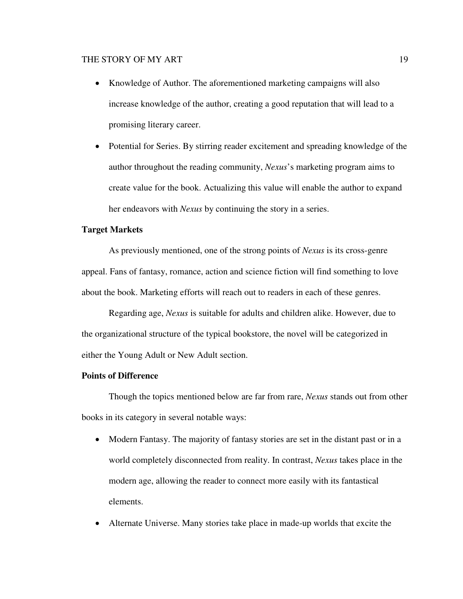- Knowledge of Author. The aforementioned marketing campaigns will also increase knowledge of the author, creating a good reputation that will lead to a promising literary career.
- Potential for Series. By stirring reader excitement and spreading knowledge of the author throughout the reading community, *Nexus*'s marketing program aims to create value for the book. Actualizing this value will enable the author to expand her endeavors with *Nexus* by continuing the story in a series.

## **Target Markets**

As previously mentioned, one of the strong points of *Nexus* is its cross-genre appeal. Fans of fantasy, romance, action and science fiction will find something to love about the book. Marketing efforts will reach out to readers in each of these genres.

Regarding age, *Nexus* is suitable for adults and children alike. However, due to the organizational structure of the typical bookstore, the novel will be categorized in either the Young Adult or New Adult section.

# **Points of Difference**

Though the topics mentioned below are far from rare, *Nexus* stands out from other books in its category in several notable ways:

- Modern Fantasy. The majority of fantasy stories are set in the distant past or in a world completely disconnected from reality. In contrast, *Nexus* takes place in the modern age, allowing the reader to connect more easily with its fantastical elements.
- Alternate Universe. Many stories take place in made-up worlds that excite the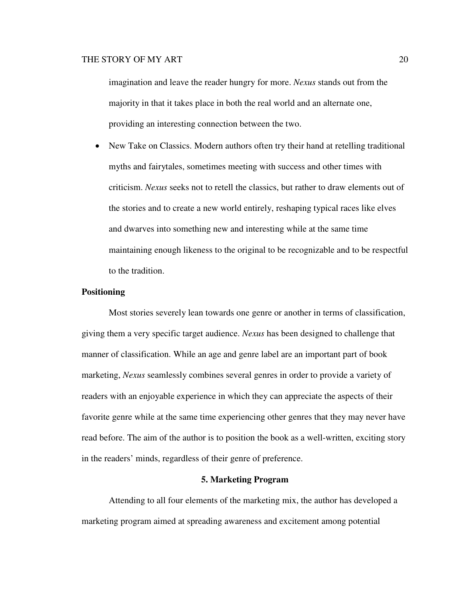imagination and leave the reader hungry for more. *Nexus* stands out from the majority in that it takes place in both the real world and an alternate one, providing an interesting connection between the two.

• New Take on Classics. Modern authors often try their hand at retelling traditional myths and fairytales, sometimes meeting with success and other times with criticism. *Nexus* seeks not to retell the classics, but rather to draw elements out of the stories and to create a new world entirely, reshaping typical races like elves and dwarves into something new and interesting while at the same time maintaining enough likeness to the original to be recognizable and to be respectful to the tradition.

### **Positioning**

Most stories severely lean towards one genre or another in terms of classification, giving them a very specific target audience. *Nexus* has been designed to challenge that manner of classification. While an age and genre label are an important part of book marketing, *Nexus* seamlessly combines several genres in order to provide a variety of readers with an enjoyable experience in which they can appreciate the aspects of their favorite genre while at the same time experiencing other genres that they may never have read before. The aim of the author is to position the book as a well-written, exciting story in the readers' minds, regardless of their genre of preference.

## **5. Marketing Program**

Attending to all four elements of the marketing mix, the author has developed a marketing program aimed at spreading awareness and excitement among potential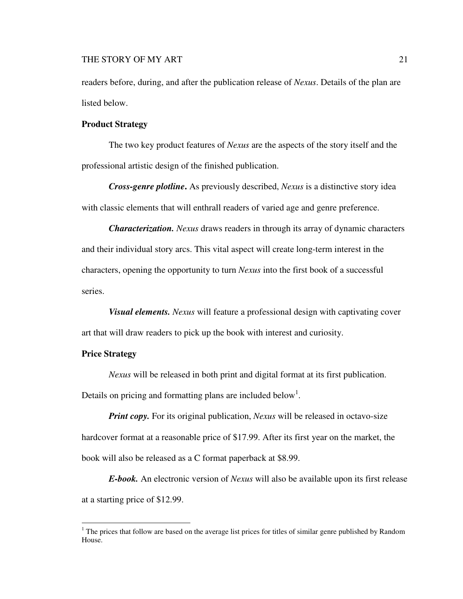readers before, during, and after the publication release of *Nexus*. Details of the plan are listed below.

## **Product Strategy**

The two key product features of *Nexus* are the aspects of the story itself and the professional artistic design of the finished publication.

*Cross-genre plotline***.** As previously described, *Nexus* is a distinctive story idea with classic elements that will enthrall readers of varied age and genre preference.

*Characterization. Nexus* draws readers in through its array of dynamic characters and their individual story arcs. This vital aspect will create long-term interest in the characters, opening the opportunity to turn *Nexus* into the first book of a successful series.

*Visual elements. Nexus* will feature a professional design with captivating cover art that will draw readers to pick up the book with interest and curiosity.

## **Price Strategy**

 $\overline{a}$ 

*Nexus* will be released in both print and digital format at its first publication.

Details on pricing and formatting plans are included below<sup>1</sup>.

*Print copy.* For its original publication, *Nexus* will be released in octavo-size hardcover format at a reasonable price of \$17.99. After its first year on the market, the book will also be released as a C format paperback at \$8.99.

*E-book.* An electronic version of *Nexus* will also be available upon its first release at a starting price of \$12.99.

 $1$ <sup>1</sup> The prices that follow are based on the average list prices for titles of similar genre published by Random House.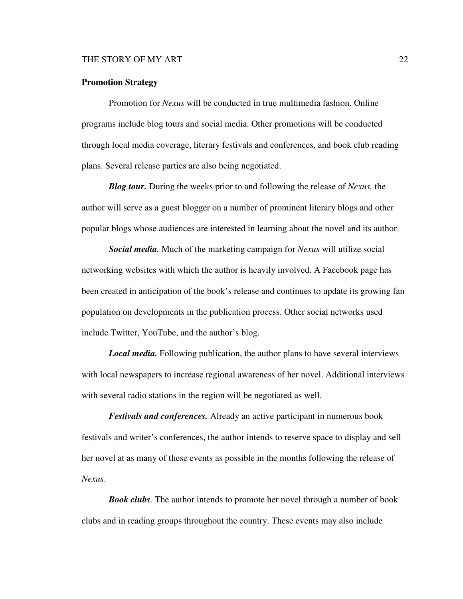### **Promotion Strategy**

Promotion for *Nexus* will be conducted in true multimedia fashion. Online programs include blog tours and social media. Other promotions will be conducted through local media coverage, literary festivals and conferences, and book club reading plans. Several release parties are also being negotiated.

*Blog tour.* During the weeks prior to and following the release of *Nexus,* the author will serve as a guest blogger on a number of prominent literary blogs and other popular blogs whose audiences are interested in learning about the novel and its author.

*Social media.* Much of the marketing campaign for *Nexus* will utilize social networking websites with which the author is heavily involved. A Facebook page has been created in anticipation of the book's release and continues to update its growing fan population on developments in the publication process. Other social networks used include Twitter, YouTube, and the author's blog.

*Local media.* Following publication, the author plans to have several interviews with local newspapers to increase regional awareness of her novel. Additional interviews with several radio stations in the region will be negotiated as well.

*Festivals and conferences.* Already an active participant in numerous book festivals and writer's conferences, the author intends to reserve space to display and sell her novel at as many of these events as possible in the months following the release of *Nexus*.

*Book clubs.* The author intends to promote her novel through a number of book clubs and in reading groups throughout the country. These events may also include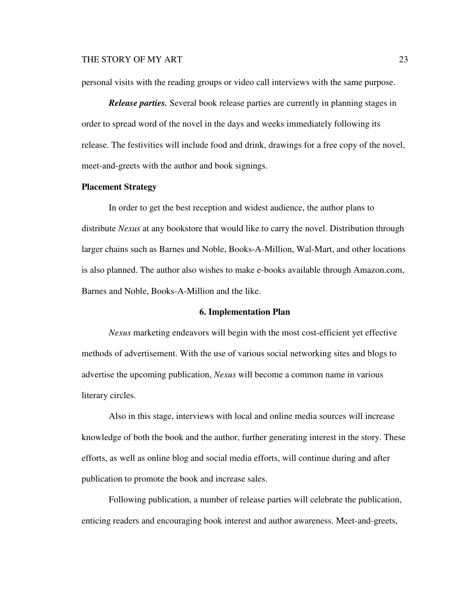personal visits with the reading groups or video call interviews with the same purpose.

*Release parties.* Several book release parties are currently in planning stages in order to spread word of the novel in the days and weeks immediately following its release. The festivities will include food and drink, drawings for a free copy of the novel, meet-and-greets with the author and book signings.

### **Placement Strategy**

In order to get the best reception and widest audience, the author plans to distribute *Nexus* at any bookstore that would like to carry the novel. Distribution through larger chains such as Barnes and Noble, Books-A-Million, Wal-Mart, and other locations is also planned. The author also wishes to make e-books available through Amazon.com, Barnes and Noble, Books-A-Million and the like.

### **6. Implementation Plan**

*Nexus* marketing endeavors will begin with the most cost-efficient yet effective methods of advertisement. With the use of various social networking sites and blogs to advertise the upcoming publication, *Nexus* will become a common name in various literary circles.

Also in this stage, interviews with local and online media sources will increase knowledge of both the book and the author, further generating interest in the story. These efforts, as well as online blog and social media efforts, will continue during and after publication to promote the book and increase sales.

Following publication, a number of release parties will celebrate the publication, enticing readers and encouraging book interest and author awareness. Meet-and-greets,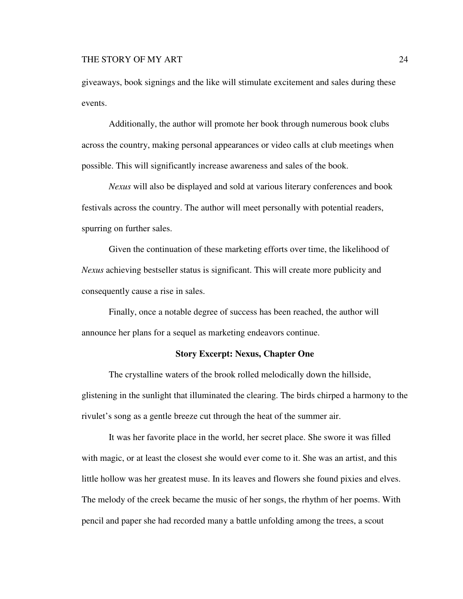giveaways, book signings and the like will stimulate excitement and sales during these events.

Additionally, the author will promote her book through numerous book clubs across the country, making personal appearances or video calls at club meetings when possible. This will significantly increase awareness and sales of the book.

*Nexus* will also be displayed and sold at various literary conferences and book festivals across the country. The author will meet personally with potential readers, spurring on further sales.

Given the continuation of these marketing efforts over time, the likelihood of *Nexus* achieving bestseller status is significant. This will create more publicity and consequently cause a rise in sales.

Finally, once a notable degree of success has been reached, the author will announce her plans for a sequel as marketing endeavors continue.

## **Story Excerpt: Nexus, Chapter One**

The crystalline waters of the brook rolled melodically down the hillside, glistening in the sunlight that illuminated the clearing. The birds chirped a harmony to the rivulet's song as a gentle breeze cut through the heat of the summer air.

It was her favorite place in the world, her secret place. She swore it was filled with magic, or at least the closest she would ever come to it. She was an artist, and this little hollow was her greatest muse. In its leaves and flowers she found pixies and elves. The melody of the creek became the music of her songs, the rhythm of her poems. With pencil and paper she had recorded many a battle unfolding among the trees, a scout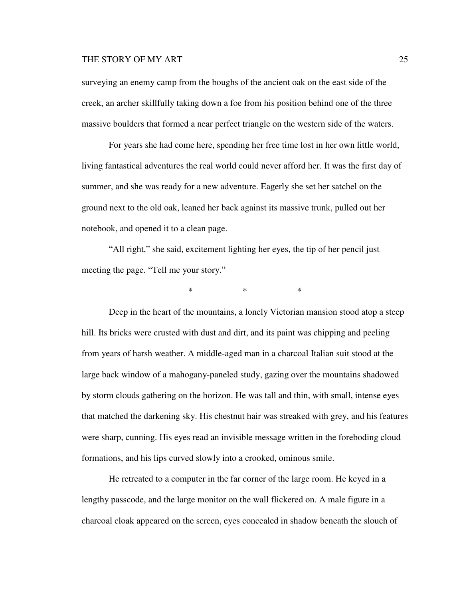surveying an enemy camp from the boughs of the ancient oak on the east side of the creek, an archer skillfully taking down a foe from his position behind one of the three massive boulders that formed a near perfect triangle on the western side of the waters.

For years she had come here, spending her free time lost in her own little world, living fantastical adventures the real world could never afford her. It was the first day of summer, and she was ready for a new adventure. Eagerly she set her satchel on the ground next to the old oak, leaned her back against its massive trunk, pulled out her notebook, and opened it to a clean page.

"All right," she said, excitement lighting her eyes, the tip of her pencil just meeting the page. "Tell me your story."

 $*$  \*  $*$  \*

Deep in the heart of the mountains, a lonely Victorian mansion stood atop a steep hill. Its bricks were crusted with dust and dirt, and its paint was chipping and peeling from years of harsh weather. A middle-aged man in a charcoal Italian suit stood at the large back window of a mahogany-paneled study, gazing over the mountains shadowed by storm clouds gathering on the horizon. He was tall and thin, with small, intense eyes that matched the darkening sky. His chestnut hair was streaked with grey, and his features were sharp, cunning. His eyes read an invisible message written in the foreboding cloud formations, and his lips curved slowly into a crooked, ominous smile.

He retreated to a computer in the far corner of the large room. He keyed in a lengthy passcode, and the large monitor on the wall flickered on. A male figure in a charcoal cloak appeared on the screen, eyes concealed in shadow beneath the slouch of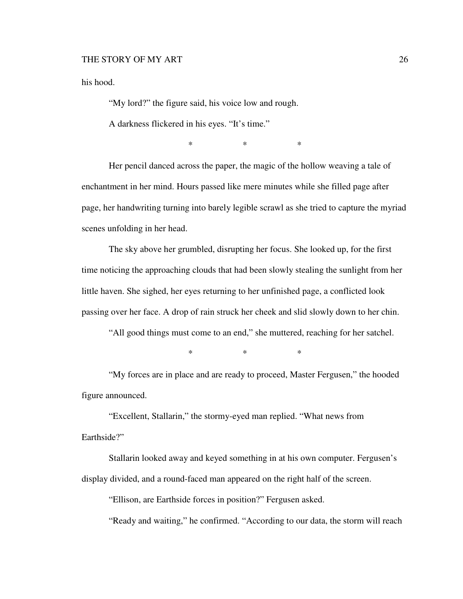his hood.

"My lord?" the figure said, his voice low and rough.

A darkness flickered in his eyes. "It's time."

 $*$  \*  $*$ 

Her pencil danced across the paper, the magic of the hollow weaving a tale of enchantment in her mind. Hours passed like mere minutes while she filled page after page, her handwriting turning into barely legible scrawl as she tried to capture the myriad scenes unfolding in her head.

The sky above her grumbled, disrupting her focus. She looked up, for the first time noticing the approaching clouds that had been slowly stealing the sunlight from her little haven. She sighed, her eyes returning to her unfinished page, a conflicted look passing over her face. A drop of rain struck her cheek and slid slowly down to her chin.

"All good things must come to an end," she muttered, reaching for her satchel.

 $*$  \*  $*$ 

"My forces are in place and are ready to proceed, Master Fergusen," the hooded figure announced.

"Excellent, Stallarin," the stormy-eyed man replied. "What news from Earthside?"

Stallarin looked away and keyed something in at his own computer. Fergusen's display divided, and a round-faced man appeared on the right half of the screen.

"Ellison, are Earthside forces in position?" Fergusen asked.

"Ready and waiting," he confirmed. "According to our data, the storm will reach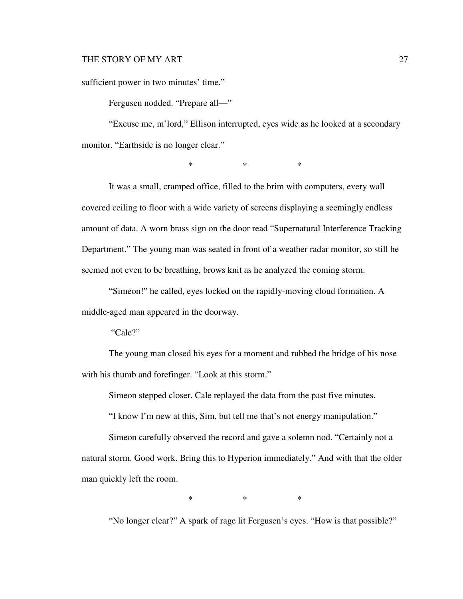sufficient power in two minutes' time."

Fergusen nodded. "Prepare all—"

"Excuse me, m'lord," Ellison interrupted, eyes wide as he looked at a secondary monitor. "Earthside is no longer clear."

 $*$  \* \* \*

It was a small, cramped office, filled to the brim with computers, every wall covered ceiling to floor with a wide variety of screens displaying a seemingly endless amount of data. A worn brass sign on the door read "Supernatural Interference Tracking Department." The young man was seated in front of a weather radar monitor, so still he seemed not even to be breathing, brows knit as he analyzed the coming storm.

"Simeon!" he called, eyes locked on the rapidly-moving cloud formation. A middle-aged man appeared in the doorway.

"Cale?"

The young man closed his eyes for a moment and rubbed the bridge of his nose with his thumb and forefinger. "Look at this storm."

Simeon stepped closer. Cale replayed the data from the past five minutes.

"I know I'm new at this, Sim, but tell me that's not energy manipulation."

Simeon carefully observed the record and gave a solemn nod. "Certainly not a natural storm. Good work. Bring this to Hyperion immediately." And with that the older man quickly left the room.

 $*$  \*  $*$  \*

"No longer clear?" A spark of rage lit Fergusen's eyes. "How is that possible?"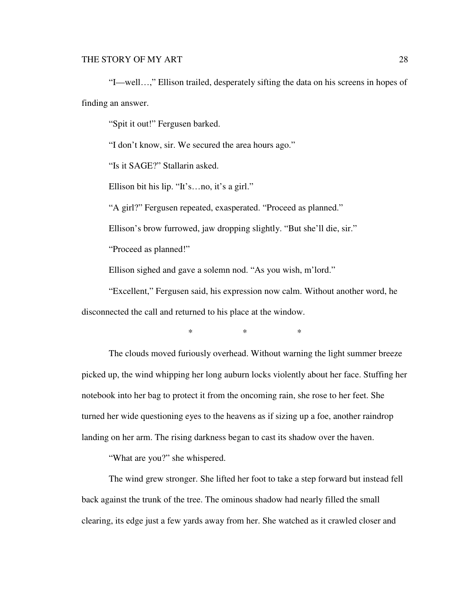"I—well…," Ellison trailed, desperately sifting the data on his screens in hopes of finding an answer.

"Spit it out!" Fergusen barked.

"I don't know, sir. We secured the area hours ago."

"Is it SAGE?" Stallarin asked.

Ellison bit his lip. "It's…no, it's a girl."

"A girl?" Fergusen repeated, exasperated. "Proceed as planned."

Ellison's brow furrowed, jaw dropping slightly. "But she'll die, sir."

"Proceed as planned!"

Ellison sighed and gave a solemn nod. "As you wish, m'lord."

"Excellent," Fergusen said, his expression now calm. Without another word, he disconnected the call and returned to his place at the window.

 $*$  \* \* \*

The clouds moved furiously overhead. Without warning the light summer breeze picked up, the wind whipping her long auburn locks violently about her face. Stuffing her notebook into her bag to protect it from the oncoming rain, she rose to her feet. She turned her wide questioning eyes to the heavens as if sizing up a foe, another raindrop landing on her arm. The rising darkness began to cast its shadow over the haven.

"What are you?" she whispered.

The wind grew stronger. She lifted her foot to take a step forward but instead fell back against the trunk of the tree. The ominous shadow had nearly filled the small clearing, its edge just a few yards away from her. She watched as it crawled closer and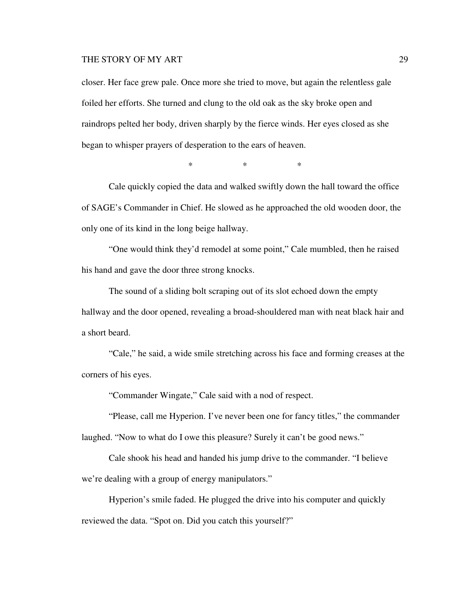closer. Her face grew pale. Once more she tried to move, but again the relentless gale foiled her efforts. She turned and clung to the old oak as the sky broke open and raindrops pelted her body, driven sharply by the fierce winds. Her eyes closed as she began to whisper prayers of desperation to the ears of heaven.

 $*$  \* \* \*

Cale quickly copied the data and walked swiftly down the hall toward the office of SAGE's Commander in Chief. He slowed as he approached the old wooden door, the only one of its kind in the long beige hallway.

"One would think they'd remodel at some point," Cale mumbled, then he raised his hand and gave the door three strong knocks.

The sound of a sliding bolt scraping out of its slot echoed down the empty hallway and the door opened, revealing a broad-shouldered man with neat black hair and a short beard.

"Cale," he said, a wide smile stretching across his face and forming creases at the corners of his eyes.

"Commander Wingate," Cale said with a nod of respect.

"Please, call me Hyperion. I've never been one for fancy titles," the commander laughed. "Now to what do I owe this pleasure? Surely it can't be good news."

Cale shook his head and handed his jump drive to the commander. "I believe we're dealing with a group of energy manipulators."

Hyperion's smile faded. He plugged the drive into his computer and quickly reviewed the data. "Spot on. Did you catch this yourself?"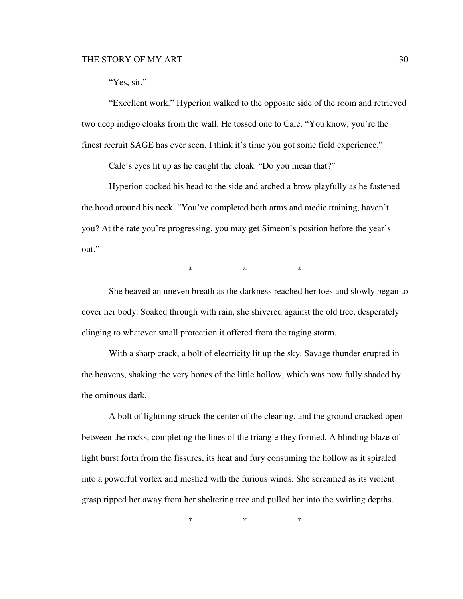## "Yes, sir."

"Excellent work." Hyperion walked to the opposite side of the room and retrieved two deep indigo cloaks from the wall. He tossed one to Cale. "You know, you're the finest recruit SAGE has ever seen. I think it's time you got some field experience."

Cale's eyes lit up as he caught the cloak. "Do you mean that?"

Hyperion cocked his head to the side and arched a brow playfully as he fastened the hood around his neck. "You've completed both arms and medic training, haven't you? At the rate you're progressing, you may get Simeon's position before the year's out."

 $*$  \* \* \*

She heaved an uneven breath as the darkness reached her toes and slowly began to cover her body. Soaked through with rain, she shivered against the old tree, desperately clinging to whatever small protection it offered from the raging storm.

With a sharp crack, a bolt of electricity lit up the sky. Savage thunder erupted in the heavens, shaking the very bones of the little hollow, which was now fully shaded by the ominous dark.

A bolt of lightning struck the center of the clearing, and the ground cracked open between the rocks, completing the lines of the triangle they formed. A blinding blaze of light burst forth from the fissures, its heat and fury consuming the hollow as it spiraled into a powerful vortex and meshed with the furious winds. She screamed as its violent grasp ripped her away from her sheltering tree and pulled her into the swirling depths.

 $*$  \* \* \*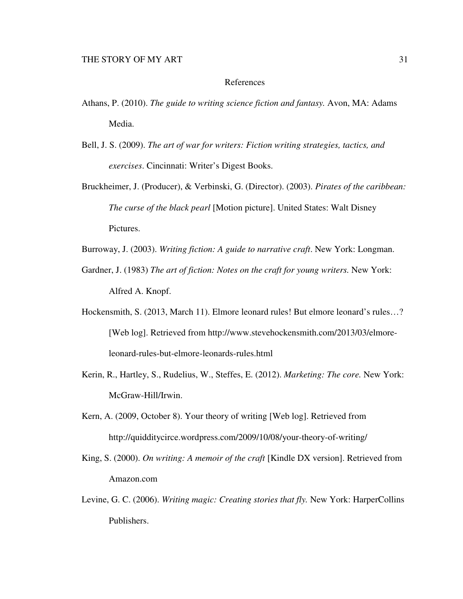### References

- Athans, P. (2010). *The guide to writing science fiction and fantasy.* Avon, MA: Adams Media.
- Bell, J. S. (2009). *The art of war for writers: Fiction writing strategies, tactics, and exercises*. Cincinnati: Writer's Digest Books.
- Bruckheimer, J. (Producer), & Verbinski, G. (Director). (2003). *Pirates of the caribbean: The curse of the black pearl* [Motion picture]. United States: Walt Disney Pictures.
- Burroway, J. (2003). *Writing fiction: A guide to narrative craft*. New York: Longman.
- Gardner, J. (1983) *The art of fiction: Notes on the craft for young writers.* New York: Alfred A. Knopf.
- Hockensmith, S. (2013, March 11). Elmore leonard rules! But elmore leonard's rules...? [Web log]. Retrieved from http://www.stevehockensmith.com/2013/03/elmoreleonard-rules-but-elmore-leonards-rules.html
- Kerin, R., Hartley, S., Rudelius, W., Steffes, E. (2012). *Marketing: The core.* New York: McGraw-Hill/Irwin.
- Kern, A. (2009, October 8). Your theory of writing [Web log]. Retrieved from http://quidditycirce.wordpress.com/2009/10/08/your-theory-of-writing/
- King, S. (2000). *On writing: A memoir of the craft* [Kindle DX version]. Retrieved from Amazon.com
- Levine, G. C. (2006). *Writing magic: Creating stories that fly.* New York: HarperCollins Publishers.